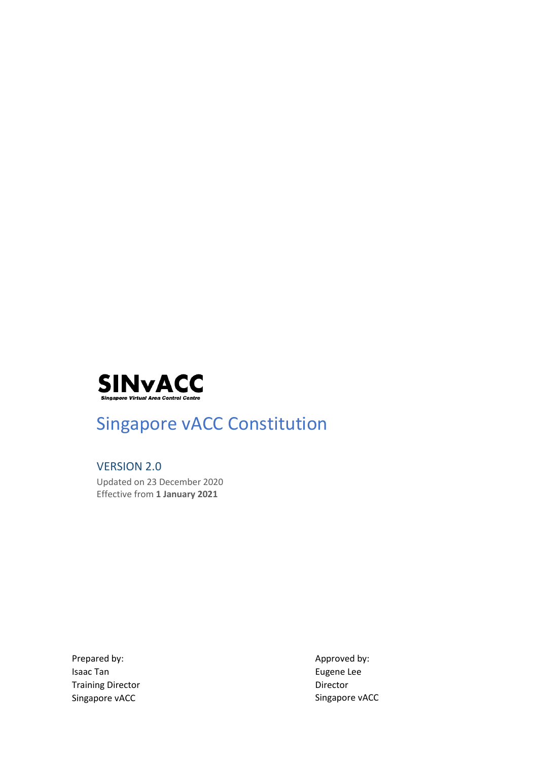

# Singapore vACC Constitution

VERSION 2.0 Updated on 23 December 2020 Effective from **1 January 2021**

Prepared by: Isaac Tan Training Director Singapore vACC

Approved by: Eugene Lee Director Singapore vACC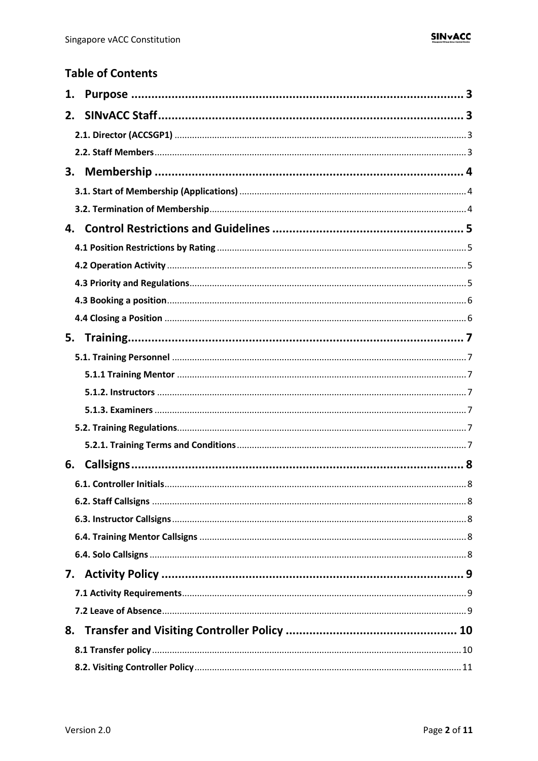## **Table of Contents**

| 1. |  |
|----|--|
| 2. |  |
|    |  |
|    |  |
| 3. |  |
|    |  |
|    |  |
| 4. |  |
|    |  |
|    |  |
|    |  |
|    |  |
|    |  |
|    |  |
|    |  |
|    |  |
|    |  |
|    |  |
|    |  |
|    |  |
| 6. |  |
|    |  |
|    |  |
|    |  |
|    |  |
|    |  |
|    |  |
|    |  |
|    |  |
| 8. |  |
|    |  |
|    |  |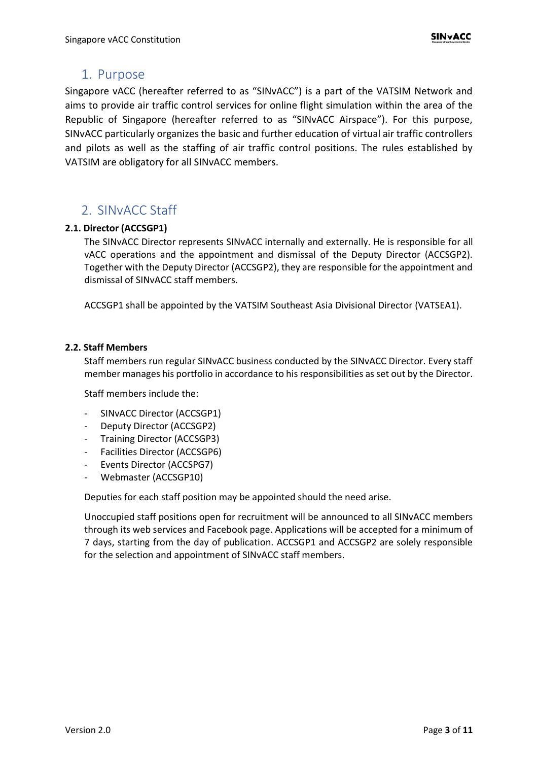### <span id="page-2-0"></span>1. Purpose

Singapore vACC (hereafter referred to as "SINvACC") is a part of the VATSIM Network and aims to provide air traffic control services for online flight simulation within the area of the Republic of Singapore (hereafter referred to as "SINvACC Airspace"). For this purpose, SINvACC particularly organizes the basic and further education of virtual air traffic controllers and pilots as well as the staffing of air traffic control positions. The rules established by VATSIM are obligatory for all SINvACC members.

## <span id="page-2-1"></span>2. SINvACC Staff

#### <span id="page-2-2"></span>**2.1. Director (ACCSGP1)**

The SINvACC Director represents SINvACC internally and externally. He is responsible for all vACC operations and the appointment and dismissal of the Deputy Director (ACCSGP2). Together with the Deputy Director (ACCSGP2), they are responsible for the appointment and dismissal of SINvACC staff members.

ACCSGP1 shall be appointed by the VATSIM Southeast Asia Divisional Director (VATSEA1).

#### <span id="page-2-3"></span>**2.2. Staff Members**

Staff members run regular SINvACC business conducted by the SINvACC Director. Every staff member manages his portfolio in accordance to his responsibilities as set out by the Director.

Staff members include the:

- SINvACC Director (ACCSGP1)
- Deputy Director (ACCSGP2)
- Training Director (ACCSGP3)
- Facilities Director (ACCSGP6)
- Events Director (ACCSPG7)
- Webmaster (ACCSGP10)

Deputies for each staff position may be appointed should the need arise.

Unoccupied staff positions open for recruitment will be announced to all SINvACC members through its web services and Facebook page. Applications will be accepted for a minimum of 7 days, starting from the day of publication. ACCSGP1 and ACCSGP2 are solely responsible for the selection and appointment of SINvACC staff members.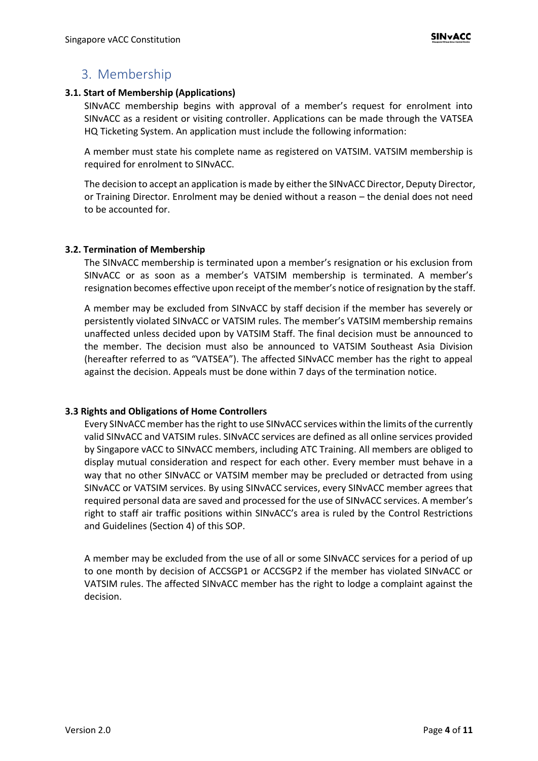### <span id="page-3-0"></span>3. Membership

#### <span id="page-3-1"></span>**3.1. Start of Membership (Applications)**

SINvACC membership begins with approval of a member's request for enrolment into SINvACC as a resident or visiting controller. Applications can be made through the VATSEA HQ Ticketing System. An application must include the following information:

A member must state his complete name as registered on VATSIM. VATSIM membership is required for enrolment to SINvACC.

The decision to accept an application is made by either the SINvACC Director, Deputy Director, or Training Director. Enrolment may be denied without a reason – the denial does not need to be accounted for.

#### <span id="page-3-2"></span>**3.2. Termination of Membership**

The SINvACC membership is terminated upon a member's resignation or his exclusion from SINvACC or as soon as a member's VATSIM membership is terminated. A member's resignation becomes effective upon receipt of the member's notice of resignation by the staff.

A member may be excluded from SINvACC by staff decision if the member has severely or persistently violated SINvACC or VATSIM rules. The member's VATSIM membership remains unaffected unless decided upon by VATSIM Staff. The final decision must be announced to the member. The decision must also be announced to VATSIM Southeast Asia Division (hereafter referred to as "VATSEA"). The affected SINvACC member has the right to appeal against the decision. Appeals must be done within 7 days of the termination notice.

#### **3.3 Rights and Obligations of Home Controllers**

Every SINvACC member has the right to use SINvACC services within the limits of the currently valid SINvACC and VATSIM rules. SINvACC services are defined as all online services provided by Singapore vACC to SINvACC members, including ATC Training. All members are obliged to display mutual consideration and respect for each other. Every member must behave in a way that no other SINvACC or VATSIM member may be precluded or detracted from using SINvACC or VATSIM services. By using SINvACC services, every SINvACC member agrees that required personal data are saved and processed for the use of SINvACC services. A member's right to staff air traffic positions within SINvACC's area is ruled by the Control Restrictions and Guidelines (Section 4) of this SOP.

A member may be excluded from the use of all or some SINvACC services for a period of up to one month by decision of ACCSGP1 or ACCSGP2 if the member has violated SINvACC or VATSIM rules. The affected SINvACC member has the right to lodge a complaint against the decision.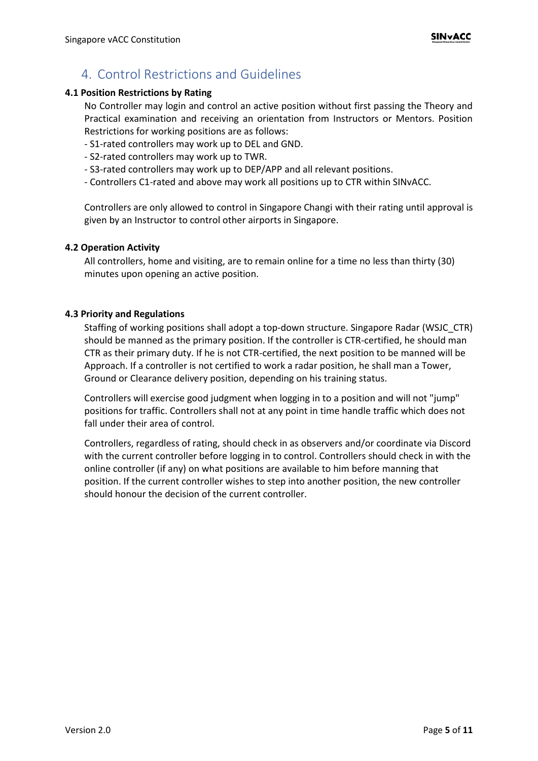# <span id="page-4-0"></span>4. Control Restrictions and Guidelines

#### <span id="page-4-1"></span>**4.1 Position Restrictions by Rating**

No Controller may login and control an active position without first passing the Theory and Practical examination and receiving an orientation from Instructors or Mentors. Position Restrictions for working positions are as follows:

- S1-rated controllers may work up to DEL and GND.
- S2-rated controllers may work up to TWR.
- S3-rated controllers may work up to DEP/APP and all relevant positions.
- Controllers C1-rated and above may work all positions up to CTR within SINvACC.

Controllers are only allowed to control in Singapore Changi with their rating until approval is given by an Instructor to control other airports in Singapore.

#### <span id="page-4-2"></span>**4.2 Operation Activity**

All controllers, home and visiting, are to remain online for a time no less than thirty (30) minutes upon opening an active position.

#### <span id="page-4-3"></span>**4.3 Priority and Regulations**

Staffing of working positions shall adopt a top-down structure. Singapore Radar (WSJC\_CTR) should be manned as the primary position. If the controller is CTR-certified, he should man CTR as their primary duty. If he is not CTR-certified, the next position to be manned will be Approach. If a controller is not certified to work a radar position, he shall man a Tower, Ground or Clearance delivery position, depending on his training status.

Controllers will exercise good judgment when logging in to a position and will not "jump" positions for traffic. Controllers shall not at any point in time handle traffic which does not fall under their area of control.

Controllers, regardless of rating, should check in as observers and/or coordinate via Discord with the current controller before logging in to control. Controllers should check in with the online controller (if any) on what positions are available to him before manning that position. If the current controller wishes to step into another position, the new controller should honour the decision of the current controller.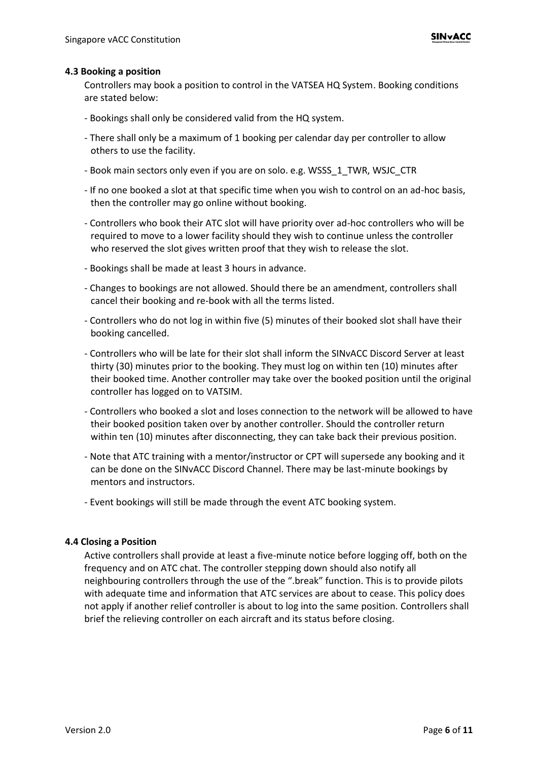#### <span id="page-5-0"></span>**4.3 Booking a position**

Controllers may book a position to control in the VATSEA HQ System. Booking conditions are stated below:

- Bookings shall only be considered valid from the HQ system.
- There shall only be a maximum of 1 booking per calendar day per controller to allow others to use the facility.
- Book main sectors only even if you are on solo. e.g. WSSS\_1\_TWR, WSJC\_CTR
- If no one booked a slot at that specific time when you wish to control on an ad-hoc basis, then the controller may go online without booking.
- Controllers who book their ATC slot will have priority over ad-hoc controllers who will be required to move to a lower facility should they wish to continue unless the controller who reserved the slot gives written proof that they wish to release the slot.
- Bookings shall be made at least 3 hours in advance.
- Changes to bookings are not allowed. Should there be an amendment, controllers shall cancel their booking and re-book with all the terms listed.
- Controllers who do not log in within five (5) minutes of their booked slot shall have their booking cancelled.
- Controllers who will be late for their slot shall inform the SINvACC Discord Server at least thirty (30) minutes prior to the booking. They must log on within ten (10) minutes after their booked time. Another controller may take over the booked position until the original controller has logged on to VATSIM.
- Controllers who booked a slot and loses connection to the network will be allowed to have their booked position taken over by another controller. Should the controller return within ten (10) minutes after disconnecting, they can take back their previous position.
- Note that ATC training with a mentor/instructor or CPT will supersede any booking and it can be done on the SINvACC Discord Channel. There may be last-minute bookings by mentors and instructors.
- Event bookings will still be made through the event ATC booking system.

#### <span id="page-5-1"></span>**4.4 Closing a Position**

Active controllers shall provide at least a five-minute notice before logging off, both on the frequency and on ATC chat. The controller stepping down should also notify all neighbouring controllers through the use of the ".break" function. This is to provide pilots with adequate time and information that ATC services are about to cease. This policy does not apply if another relief controller is about to log into the same position. Controllers shall brief the relieving controller on each aircraft and its status before closing.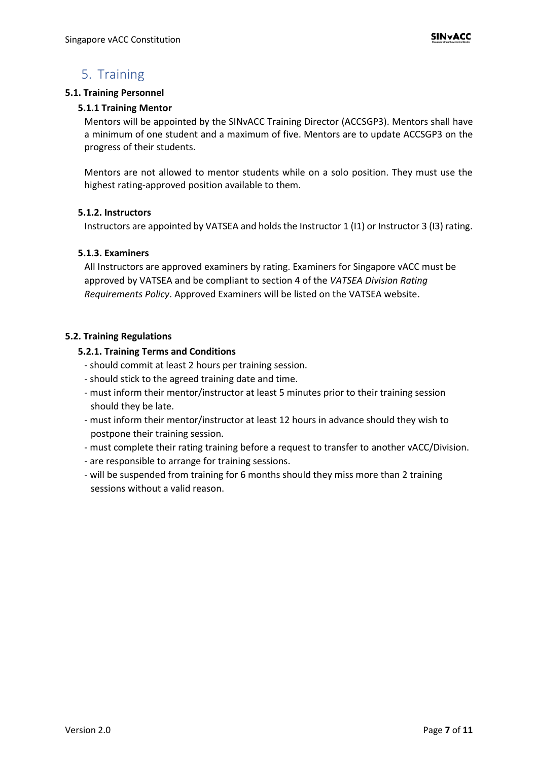# <span id="page-6-0"></span>5. Training

#### <span id="page-6-2"></span><span id="page-6-1"></span>**5.1. Training Personnel**

#### **5.1.1 Training Mentor**

Mentors will be appointed by the SINvACC Training Director (ACCSGP3). Mentors shall have a minimum of one student and a maximum of five. Mentors are to update ACCSGP3 on the progress of their students.

Mentors are not allowed to mentor students while on a solo position. They must use the highest rating-approved position available to them.

#### <span id="page-6-3"></span>**5.1.2. Instructors**

Instructors are appointed by VATSEA and holds the Instructor 1 (I1) or Instructor 3 (I3) rating.

#### <span id="page-6-4"></span>**5.1.3. Examiners**

All Instructors are approved examiners by rating. Examiners for Singapore vACC must be approved by VATSEA and be compliant to section 4 of the *VATSEA Division Rating Requirements Policy*. Approved Examiners will be listed on the VATSEA website.

#### <span id="page-6-6"></span><span id="page-6-5"></span>**5.2. Training Regulations**

#### **5.2.1. Training Terms and Conditions**

- should commit at least 2 hours per training session.
- should stick to the agreed training date and time.
- must inform their mentor/instructor at least 5 minutes prior to their training session should they be late.
- must inform their mentor/instructor at least 12 hours in advance should they wish to postpone their training session.
- must complete their rating training before a request to transfer to another vACC/Division.
- are responsible to arrange for training sessions.
- will be suspended from training for 6 months should they miss more than 2 training sessions without a valid reason.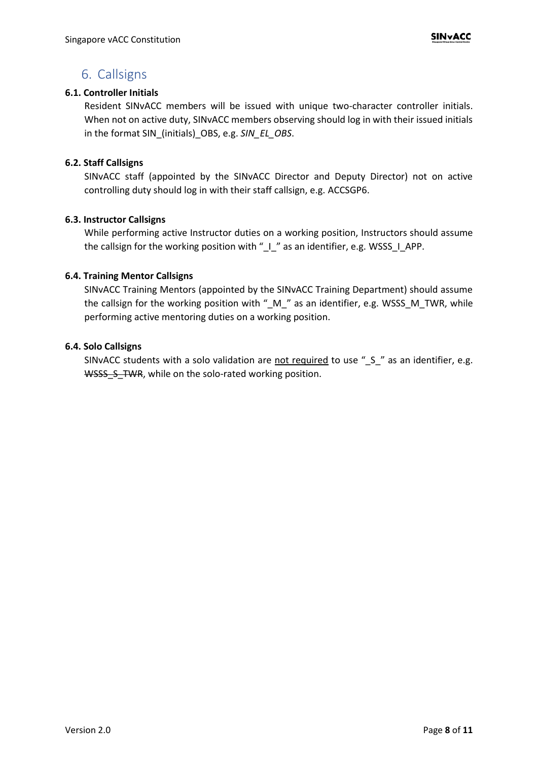### <span id="page-7-0"></span>6. Callsigns

#### <span id="page-7-1"></span>**6.1. Controller Initials**

Resident SINvACC members will be issued with unique two-character controller initials. When not on active duty, SINvACC members observing should log in with their issued initials in the format SIN\_(initials)\_OBS, e.g. *SIN\_EL\_OBS*.

#### <span id="page-7-2"></span>**6.2. Staff Callsigns**

SINvACC staff (appointed by the SINvACC Director and Deputy Director) not on active controlling duty should log in with their staff callsign, e.g. ACCSGP6.

#### <span id="page-7-3"></span>**6.3. Instructor Callsigns**

While performing active Instructor duties on a working position, Instructors should assume the callsign for the working position with "\_I\_" as an identifier, e.g. WSSS\_I\_APP.

#### <span id="page-7-4"></span>**6.4. Training Mentor Callsigns**

SINvACC Training Mentors (appointed by the SINvACC Training Department) should assume the callsign for the working position with " $_M$ " as an identifier, e.g. WSSS  $_M$  TWR, while performing active mentoring duties on a working position.

#### <span id="page-7-5"></span>**6.4. Solo Callsigns**

SINvACC students with a solo validation are not required to use "\_S\_" as an identifier, e.g. WSSS S TWR, while on the solo-rated working position.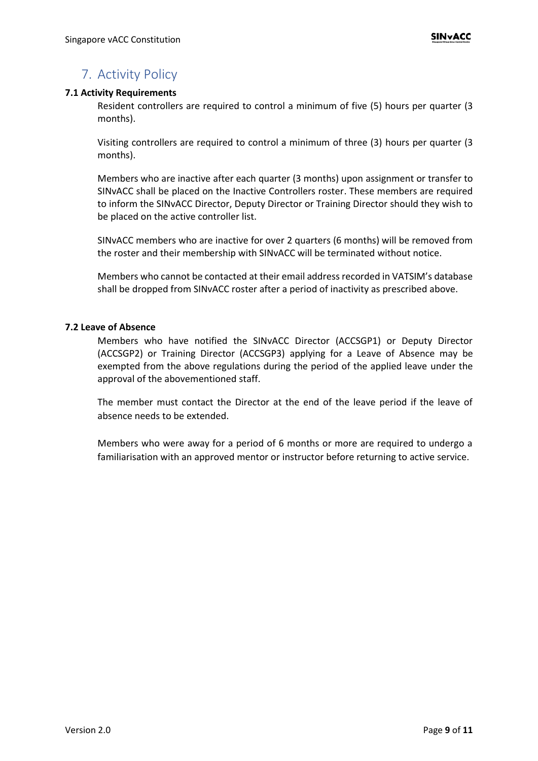# <span id="page-8-0"></span>7. Activity Policy

#### <span id="page-8-1"></span>**7.1 Activity Requirements**

Resident controllers are required to control a minimum of five (5) hours per quarter (3 months).

Visiting controllers are required to control a minimum of three (3) hours per quarter (3 months).

Members who are inactive after each quarter (3 months) upon assignment or transfer to SINvACC shall be placed on the Inactive Controllers roster. These members are required to inform the SINvACC Director, Deputy Director or Training Director should they wish to be placed on the active controller list.

SINvACC members who are inactive for over 2 quarters (6 months) will be removed from the roster and their membership with SINvACC will be terminated without notice.

Members who cannot be contacted at their email address recorded in VATSIM's database shall be dropped from SINvACC roster after a period of inactivity as prescribed above.

#### <span id="page-8-2"></span>**7.2 Leave of Absence**

Members who have notified the SINvACC Director (ACCSGP1) or Deputy Director (ACCSGP2) or Training Director (ACCSGP3) applying for a Leave of Absence may be exempted from the above regulations during the period of the applied leave under the approval of the abovementioned staff.

The member must contact the Director at the end of the leave period if the leave of absence needs to be extended.

Members who were away for a period of 6 months or more are required to undergo a familiarisation with an approved mentor or instructor before returning to active service.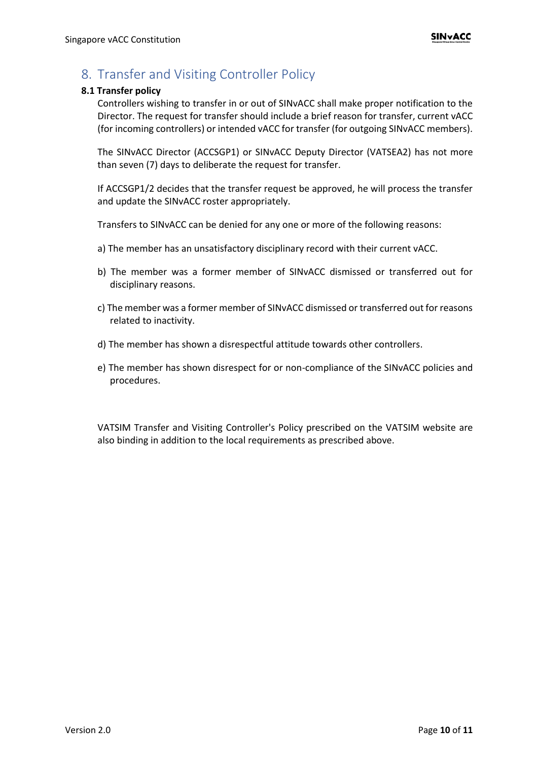# <span id="page-9-0"></span>8. Transfer and Visiting Controller Policy

#### <span id="page-9-1"></span>**8.1 Transfer policy**

Controllers wishing to transfer in or out of SINvACC shall make proper notification to the Director. The request for transfer should include a brief reason for transfer, current vACC (for incoming controllers) or intended vACC for transfer (for outgoing SINvACC members).

The SINvACC Director (ACCSGP1) or SINvACC Deputy Director (VATSEA2) has not more than seven (7) days to deliberate the request for transfer.

If ACCSGP1/2 decides that the transfer request be approved, he will process the transfer and update the SINvACC roster appropriately.

Transfers to SINvACC can be denied for any one or more of the following reasons:

- a) The member has an unsatisfactory disciplinary record with their current vACC.
- b) The member was a former member of SINvACC dismissed or transferred out for disciplinary reasons.
- c) The member was a former member of SINvACC dismissed or transferred out for reasons related to inactivity.
- d) The member has shown a disrespectful attitude towards other controllers.
- e) The member has shown disrespect for or non-compliance of the SINvACC policies and procedures.

VATSIM Transfer and Visiting Controller's Policy prescribed on the VATSIM website are also binding in addition to the local requirements as prescribed above.